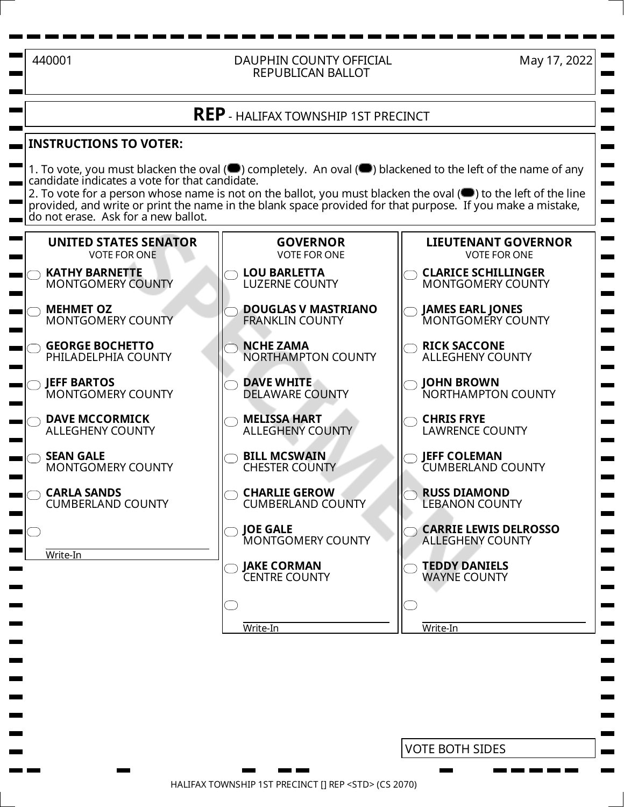## 440001 DAUPHIN COUNTY OFFICIAL REPUBLICAN BALLOT

May 17, 2022

## **REP**- HALIFAX TOWNSHIP 1ST PRECINCT

## **INSTRUCTIONS TO VOTER:**

1. To vote, you must blacken the oval (C) completely. An oval (C) blackened to the left of the name of any candidate indicates a vote for that candidate.

2. To vote for a person whose name is not on the ballot, you must blacken the oval  $($ , to the left of the line provided, and write or print the name in the blank space provided for that purpose. If you make a mistake, do not erase. Ask for a new ballot.